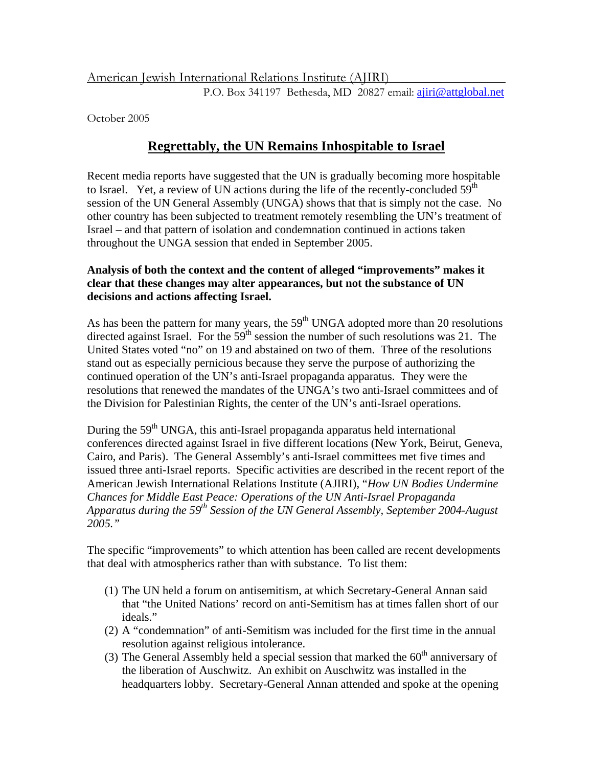American Jewish International Relations Institute (AJIRI) \_\_\_\_\_\_\_

P.O. Box 341197 Bethesda, MD 20827 email: [ajiri@attglobal.net](mailto:ajiri@attglobal.net)

October 2005

# **Regrettably, the UN Remains Inhospitable to Israel**

Recent media reports have suggested that the UN is gradually becoming more hospitable to Israel. Yet, a review of UN actions during the life of the recently-concluded  $59<sup>th</sup>$ session of the UN General Assembly (UNGA) shows that that is simply not the case. No other country has been subjected to treatment remotely resembling the UN's treatment of Israel – and that pattern of isolation and condemnation continued in actions taken throughout the UNGA session that ended in September 2005.

# **Analysis of both the context and the content of alleged "improvements" makes it clear that these changes may alter appearances, but not the substance of UN decisions and actions affecting Israel.**

As has been the pattern for many years, the  $59<sup>th</sup>$  UNGA adopted more than 20 resolutions directed against Israel. For the  $59<sup>th</sup>$  session the number of such resolutions was 21. The United States voted "no" on 19 and abstained on two of them. Three of the resolutions stand out as especially pernicious because they serve the purpose of authorizing the continued operation of the UN's anti-Israel propaganda apparatus. They were the resolutions that renewed the mandates of the UNGA's two anti-Israel committees and of the Division for Palestinian Rights, the center of the UN's anti-Israel operations.

During the  $59<sup>th</sup> UNGA$ , this anti-Israel propaganda apparatus held international conferences directed against Israel in five different locations (New York, Beirut, Geneva, Cairo, and Paris). The General Assembly's anti-Israel committees met five times and issued three anti-Israel reports. Specific activities are described in the recent report of the American Jewish International Relations Institute (AJIRI), "*How UN Bodies Undermine Chances for Middle East Peace: Operations of the UN Anti-Israel Propaganda Apparatus during the 59th Session of the UN General Assembly, September 2004-August 2005."*

The specific "improvements" to which attention has been called are recent developments that deal with atmospherics rather than with substance. To list them:

- (1) The UN held a forum on antisemitism, at which Secretary-General Annan said that "the United Nations' record on anti-Semitism has at times fallen short of our ideals."
- (2) A "condemnation" of anti-Semitism was included for the first time in the annual resolution against religious intolerance.
- (3) The General Assembly held a special session that marked the  $60<sup>th</sup>$  anniversary of the liberation of Auschwitz. An exhibit on Auschwitz was installed in the headquarters lobby. Secretary-General Annan attended and spoke at the opening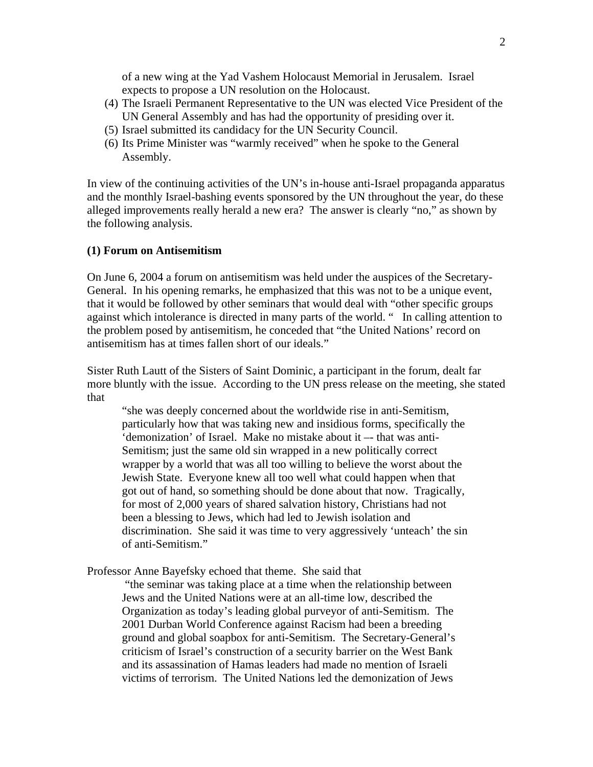of a new wing at the Yad Vashem Holocaust Memorial in Jerusalem. Israel expects to propose a UN resolution on the Holocaust.

- (4) The Israeli Permanent Representative to the UN was elected Vice President of the UN General Assembly and has had the opportunity of presiding over it.
- (5) Israel submitted its candidacy for the UN Security Council.
- (6) Its Prime Minister was "warmly received" when he spoke to the General Assembly.

In view of the continuing activities of the UN's in-house anti-Israel propaganda apparatus and the monthly Israel-bashing events sponsored by the UN throughout the year, do these alleged improvements really herald a new era? The answer is clearly "no," as shown by the following analysis.

## **(1) Forum on Antisemitism**

On June 6, 2004 a forum on antisemitism was held under the auspices of the Secretary-General. In his opening remarks, he emphasized that this was not to be a unique event, that it would be followed by other seminars that would deal with "other specific groups against which intolerance is directed in many parts of the world. " In calling attention to the problem posed by antisemitism, he conceded that "the United Nations' record on antisemitism has at times fallen short of our ideals."

Sister Ruth Lautt of the Sisters of Saint Dominic, a participant in the forum, dealt far more bluntly with the issue. According to the UN press release on the meeting, she stated that

"she was deeply concerned about the worldwide rise in anti-Semitism, particularly how that was taking new and insidious forms, specifically the 'demonization' of Israel. Make no mistake about it –- that was anti-Semitism; just the same old sin wrapped in a new politically correct wrapper by a world that was all too willing to believe the worst about the Jewish State. Everyone knew all too well what could happen when that got out of hand, so something should be done about that now. Tragically, for most of 2,000 years of shared salvation history, Christians had not been a blessing to Jews, which had led to Jewish isolation and discrimination. She said it was time to very aggressively 'unteach' the sin of anti-Semitism."

Professor Anne Bayefsky echoed that theme. She said that

 "the seminar was taking place at a time when the relationship between Jews and the United Nations were at an all-time low, described the Organization as today's leading global purveyor of anti-Semitism. The 2001 Durban World Conference against Racism had been a breeding ground and global soapbox for anti-Semitism. The Secretary-General's criticism of Israel's construction of a security barrier on the West Bank and its assassination of Hamas leaders had made no mention of Israeli victims of terrorism. The United Nations led the demonization of Jews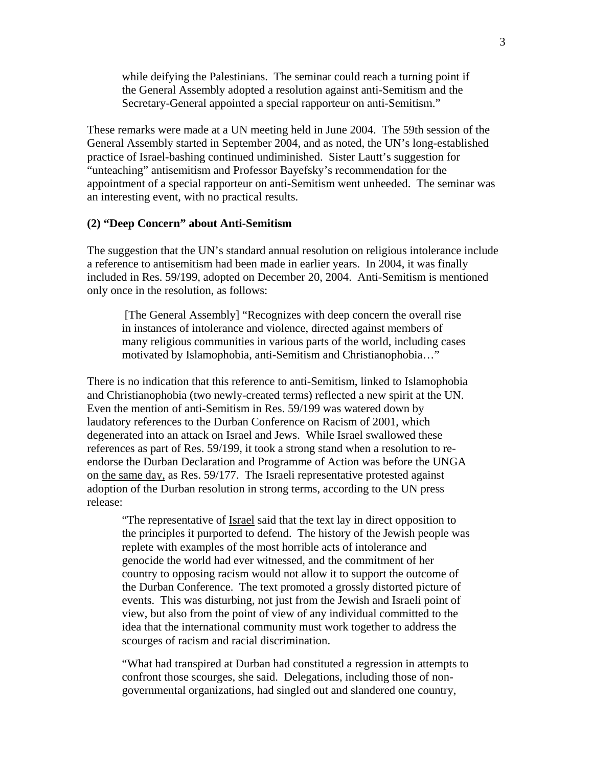while deifying the Palestinians. The seminar could reach a turning point if the General Assembly adopted a resolution against anti-Semitism and the Secretary-General appointed a special rapporteur on anti-Semitism."

These remarks were made at a UN meeting held in June 2004. The 59th session of the General Assembly started in September 2004, and as noted, the UN's long-established practice of Israel-bashing continued undiminished. Sister Lautt's suggestion for "unteaching" antisemitism and Professor Bayefsky's recommendation for the appointment of a special rapporteur on anti-Semitism went unheeded. The seminar was an interesting event, with no practical results.

## **(2) "Deep Concern" about Anti-Semitism**

The suggestion that the UN's standard annual resolution on religious intolerance include a reference to antisemitism had been made in earlier years. In 2004, it was finally included in Res. 59/199, adopted on December 20, 2004. Anti-Semitism is mentioned only once in the resolution, as follows:

[The General Assembly] "Recognizes with deep concern the overall rise in instances of intolerance and violence, directed against members of many religious communities in various parts of the world, including cases motivated by Islamophobia, anti-Semitism and Christianophobia…"

There is no indication that this reference to anti-Semitism, linked to Islamophobia and Christianophobia (two newly-created terms) reflected a new spirit at the UN. Even the mention of anti-Semitism in Res. 59/199 was watered down by laudatory references to the Durban Conference on Racism of 2001, which degenerated into an attack on Israel and Jews. While Israel swallowed these references as part of Res. 59/199, it took a strong stand when a resolution to reendorse the Durban Declaration and Programme of Action was before the UNGA on the same day, as Res. 59/177. The Israeli representative protested against adoption of the Durban resolution in strong terms, according to the UN press release:

"The representative of Israel said that the text lay in direct opposition to the principles it purported to defend. The history of the Jewish people was replete with examples of the most horrible acts of intolerance and genocide the world had ever witnessed, and the commitment of her country to opposing racism would not allow it to support the outcome of the Durban Conference. The text promoted a grossly distorted picture of events. This was disturbing, not just from the Jewish and Israeli point of view, but also from the point of view of any individual committed to the idea that the international community must work together to address the scourges of racism and racial discrimination.

"What had transpired at Durban had constituted a regression in attempts to confront those scourges, she said. Delegations, including those of nongovernmental organizations, had singled out and slandered one country,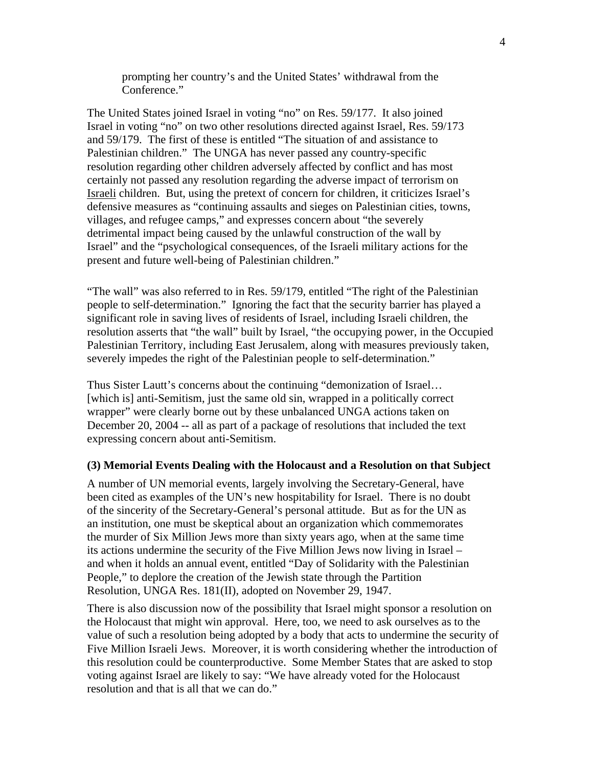prompting her country's and the United States' withdrawal from the Conference."

The United States joined Israel in voting "no" on Res. 59/177. It also joined Israel in voting "no" on two other resolutions directed against Israel, Res. 59/173 and 59/179. The first of these is entitled "The situation of and assistance to Palestinian children." The UNGA has never passed any country-specific resolution regarding other children adversely affected by conflict and has most certainly not passed any resolution regarding the adverse impact of terrorism on Israeli children. But, using the pretext of concern for children, it criticizes Israel's defensive measures as "continuing assaults and sieges on Palestinian cities, towns, villages, and refugee camps," and expresses concern about "the severely detrimental impact being caused by the unlawful construction of the wall by Israel" and the "psychological consequences, of the Israeli military actions for the present and future well-being of Palestinian children."

"The wall" was also referred to in Res. 59/179, entitled "The right of the Palestinian people to self-determination." Ignoring the fact that the security barrier has played a significant role in saving lives of residents of Israel, including Israeli children, the resolution asserts that "the wall" built by Israel, "the occupying power, in the Occupied Palestinian Territory, including East Jerusalem, along with measures previously taken, severely impedes the right of the Palestinian people to self-determination."

Thus Sister Lautt's concerns about the continuing "demonization of Israel… [which is] anti-Semitism, just the same old sin, wrapped in a politically correct wrapper" were clearly borne out by these unbalanced UNGA actions taken on December 20, 2004 -- all as part of a package of resolutions that included the text expressing concern about anti-Semitism.

#### **(3) Memorial Events Dealing with the Holocaust and a Resolution on that Subject**

A number of UN memorial events, largely involving the Secretary-General, have been cited as examples of the UN's new hospitability for Israel. There is no doubt of the sincerity of the Secretary-General's personal attitude. But as for the UN as an institution, one must be skeptical about an organization which commemorates the murder of Six Million Jews more than sixty years ago, when at the same time its actions undermine the security of the Five Million Jews now living in Israel – and when it holds an annual event, entitled "Day of Solidarity with the Palestinian People," to deplore the creation of the Jewish state through the Partition Resolution, UNGA Res. 181(II), adopted on November 29, 1947.

There is also discussion now of the possibility that Israel might sponsor a resolution on the Holocaust that might win approval. Here, too, we need to ask ourselves as to the value of such a resolution being adopted by a body that acts to undermine the security of Five Million Israeli Jews. Moreover, it is worth considering whether the introduction of this resolution could be counterproductive. Some Member States that are asked to stop voting against Israel are likely to say: "We have already voted for the Holocaust resolution and that is all that we can do."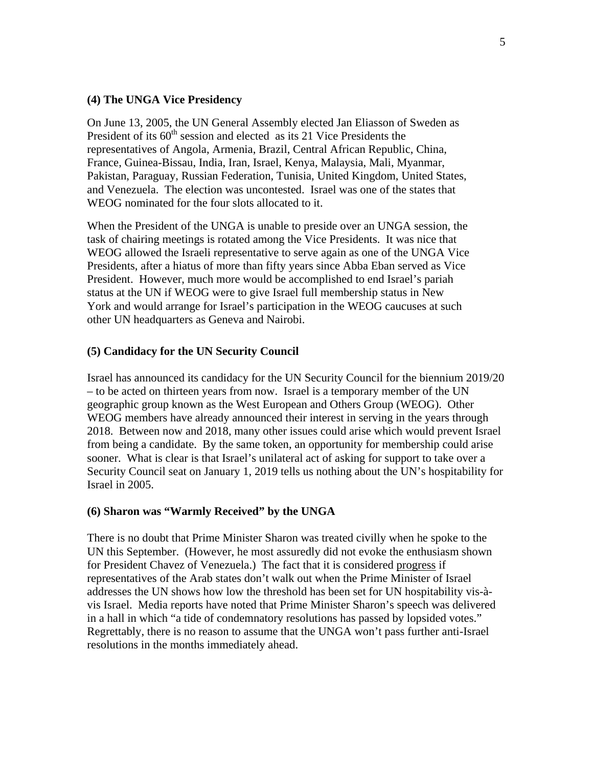## **(4) The UNGA Vice Presidency**

On June 13, 2005, the UN General Assembly elected Jan Eliasson of Sweden as President of its  $60<sup>th</sup>$  session and elected as its 21 Vice Presidents the representatives of Angola, Armenia, Brazil, Central African Republic, China, France, Guinea-Bissau, India, Iran, Israel, Kenya, Malaysia, Mali, Myanmar, Pakistan, Paraguay, Russian Federation, Tunisia, United Kingdom, United States, and Venezuela. The election was uncontested. Israel was one of the states that WEOG nominated for the four slots allocated to it.

When the President of the UNGA is unable to preside over an UNGA session, the task of chairing meetings is rotated among the Vice Presidents. It was nice that WEOG allowed the Israeli representative to serve again as one of the UNGA Vice Presidents, after a hiatus of more than fifty years since Abba Eban served as Vice President. However, much more would be accomplished to end Israel's pariah status at the UN if WEOG were to give Israel full membership status in New York and would arrange for Israel's participation in the WEOG caucuses at such other UN headquarters as Geneva and Nairobi.

## **(5) Candidacy for the UN Security Council**

Israel has announced its candidacy for the UN Security Council for the biennium 2019/20 – to be acted on thirteen years from now. Israel is a temporary member of the UN geographic group known as the West European and Others Group (WEOG). Other WEOG members have already announced their interest in serving in the years through 2018. Between now and 2018, many other issues could arise which would prevent Israel from being a candidate. By the same token, an opportunity for membership could arise sooner. What is clear is that Israel's unilateral act of asking for support to take over a Security Council seat on January 1, 2019 tells us nothing about the UN's hospitability for Israel in 2005.

## **(6) Sharon was "Warmly Received" by the UNGA**

There is no doubt that Prime Minister Sharon was treated civilly when he spoke to the UN this September. (However, he most assuredly did not evoke the enthusiasm shown for President Chavez of Venezuela.) The fact that it is considered progress if representatives of the Arab states don't walk out when the Prime Minister of Israel addresses the UN shows how low the threshold has been set for UN hospitability vis-àvis Israel. Media reports have noted that Prime Minister Sharon's speech was delivered in a hall in which "a tide of condemnatory resolutions has passed by lopsided votes." Regrettably, there is no reason to assume that the UNGA won't pass further anti-Israel resolutions in the months immediately ahead.